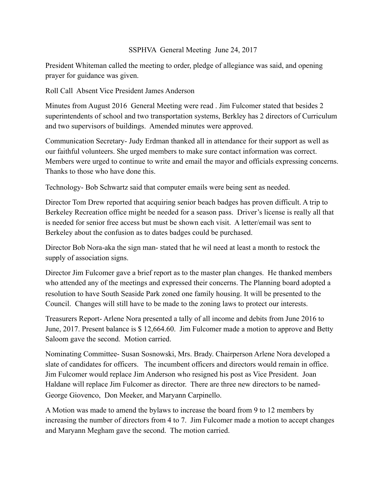## SSPHVA General Meeting June 24, 2017

President Whiteman called the meeting to order, pledge of allegiance was said, and opening prayer for guidance was given.

Roll Call Absent Vice President James Anderson

Minutes from August 2016 General Meeting were read . Jim Fulcomer stated that besides 2 superintendents of school and two transportation systems, Berkley has 2 directors of Curriculum and two supervisors of buildings. Amended minutes were approved.

Communication Secretary- Judy Erdman thanked all in attendance for their support as well as our faithful volunteers. She urged members to make sure contact information was correct. Members were urged to continue to write and email the mayor and officials expressing concerns. Thanks to those who have done this.

Technology- Bob Schwartz said that computer emails were being sent as needed.

Director Tom Drew reported that acquiring senior beach badges has proven difficult. A trip to Berkeley Recreation office might be needed for a season pass. Driver's license is really all that is needed for senior free access but must be shown each visit. A letter/email was sent to Berkeley about the confusion as to dates badges could be purchased.

Director Bob Nora-aka the sign man- stated that he wil need at least a month to restock the supply of association signs.

Director Jim Fulcomer gave a brief report as to the master plan changes. He thanked members who attended any of the meetings and expressed their concerns. The Planning board adopted a resolution to have South Seaside Park zoned one family housing. It will be presented to the Council. Changes will still have to be made to the zoning laws to protect our interests.

Treasurers Report- Arlene Nora presented a tally of all income and debits from June 2016 to June, 2017. Present balance is \$ 12,664.60. Jim Fulcomer made a motion to approve and Betty Saloom gave the second. Motion carried.

Nominating Committee- Susan Sosnowski, Mrs. Brady. Chairperson Arlene Nora developed a slate of candidates for officers. The incumbent officers and directors would remain in office. Jim Fulcomer would replace Jim Anderson who resigned his post as Vice President. Joan Haldane will replace Jim Fulcomer as director. There are three new directors to be named-George Giovenco, Don Meeker, and Maryann Carpinello.

A Motion was made to amend the bylaws to increase the board from 9 to 12 members by increasing the number of directors from 4 to 7. Jim Fulcomer made a motion to accept changes and Maryann Megham gave the second. The motion carried.